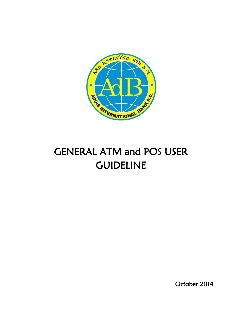

# GENERAL ATM and POS USER GUIDELINE

October 2014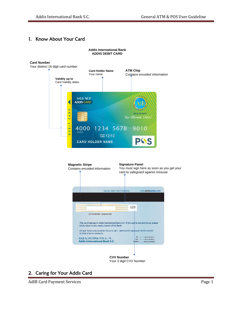# 1. Know About Your Card



**Addis International Bank**



#### Your 3 digit CVV Number

## 2. Caring for Your Addis Card

AdIB Card Payment Services **Page 1**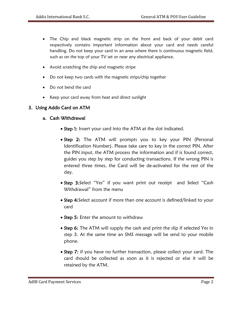- The Chip and black magnetic strip on the front and back of your debit card respectively contains important information about your card and needs careful handling. Do not keep your card in an area where there is continuous magnetic field, such as on the top of your TV set or near any electrical appliance.
- Avoid scratching the chip and magnetic stripe
- Do not keep two cards with the magnetic strips/chip together
- Do not bend the card
- Keep your card away from heat and direct sunlight

## 3. Using Addis Card on ATM

#### a. Cash Withdrawal

- Step 1: Insert your card into the ATM at the slot indicated.
- **Step 2:** The ATM will prompts you to key your PIN (Personal Identification Number). Please take care to key in the correct PIN. After the PIN input, the ATM process the information and if is found correct, guides you step by step for conducting transactions. If the wrong PIN is entered three times, the Card will be de-activated for the rest of the day.
- Step 3: Select "Yes" if you want print out receipt and Select "Cash Withdrawal" from the menu
- Step 4: Select account if more than one account is defined/linked to your card
- Step 5: Enter the amount to withdraw
- Step 6: The ATM will supply the cash and print the slip if selected Yes in step 3. At the same time an SMS message will be send to your mobile phone.
- Step 7: if you have no further transaction, please collect your card. The card should be collected as soon as it is rejected or else it will be retained by the ATM.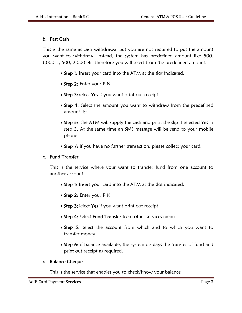# b. Fast Cash

This is the same as cash withdrawal but you are not required to put the amount you want to withdraw. Instead, the system has predefined amount like 500, 1,000, 1, 500, 2,000 etc. therefore you will select from the predefined amount.

- Step 1: Insert your card into the ATM at the slot indicated.
- Step 2: Enter your PIN
- Step 3: Select Yes if you want print out receipt
- Step 4: Select the amount you want to withdraw from the predefined amount list
- Step 5: The ATM will supply the cash and print the slip if selected Yes in step 3. At the same time an SMS message will be send to your mobile phone.
- Step 7: if you have no further transaction, please collect your card.

## c. Fund Transfer

This is the service where your want to transfer fund from one account to another account

- Step 1: Insert your card into the ATM at the slot indicated.
- Step 2: Enter your PIN
- Step 3: Select Yes if you want print out receipt
- Step 4: Select Fund Transfer from other services menu
- **Step 5:** select the account from which and to which you want to transfer money
- Step 6: if balance available, the system displays the transfer of fund and print out receipt as required.

## d. Balance Cheque

This is the service that enables you to check/know your balance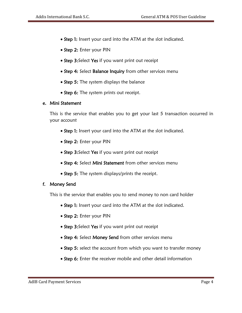- Step 1: Insert your card into the ATM at the slot indicated.
- Step 2: Enter your PIN
- Step 3: Select Yes if you want print out receipt
- Step 4: Select Balance Inquiry from other services menu
- Step 5: The system displays the balance
- Step 6: The system prints out receipt.

#### e. Mini Statement

This is the service that enables you to get your last 5 transaction occurred in your account

- Step 1: Insert your card into the ATM at the slot indicated.
- Step 2: Enter your PIN
- Step 3: Select Yes if you want print out receipt
- Step 4: Select Mini Statement from other services menu
- Step 5: The system displays/prints the receipt.

## f. Money Send

This is the service that enables you to send money to non card holder

- Step 1: Insert your card into the ATM at the slot indicated.
- Step 2: Enter your PIN
- Step 3: Select Yes if you want print out receipt
- Step 4: Select Money Send from other services menu
- Step 5: select the account from which you want to transfer money
- Step 6: Enter the receiver mobile and other detail information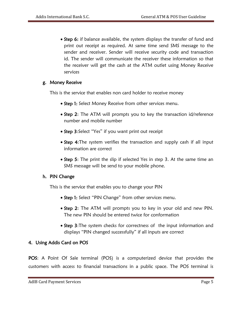• Step 6: if balance available, the system displays the transfer of fund and print out receipt as required. At same time send SMS message to the sender and receiver. Sender will receive security code and transaction id. The sender will communicate the receiver these information so that the receiver will get the cash at the ATM outlet using Money Receive services

# g. Money Receive

This is the service that enables non card holder to receive money

- Step 1: Select Money Receive from other services menu.
- Step 2: The ATM will prompts you to key the transaction id/reference number and mobile number
- Step 3: Select "Yes" if you want print out receipt
- Step 4: The system verifies the transaction and supply cash if all input information are correct
- Step 5: The print the slip if selected Yes in step 3. At the same time an SMS message will be send to your mobile phone.

## h. PIN Change

This is the service that enables you to change your PIN

- Step 1: Select "PIN Change" from other services menu.
- Step 2: The ATM will prompts you to key in your old and new PIN. The new PIN should be entered twice for conformation
- Step 3: The system checks for correctness of the input information and displays "PIN changed successfully" if all inputs are correct

## 4. Using Addis Card on POS

POS: A Point Of Sale terminal (POS) is a computerized device that provides the customers with access to financial transactions in a public space. The POS terminal is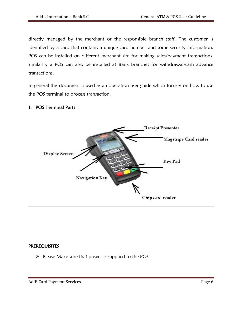directly managed by the merchant or the responsible branch staff. The customer is identified by a card that contains a unique card number and some security information. POS can be installed on different merchant site for making sales/payment transactions. Similarlry a POS can also be installed at Bank branches for withdrawal/cash advance transactions.

In general this document is used as an operation user guide which focuses on how to use the POS terminal to process transaction.

#### 1. POS Terminal Parts



#### **PREREQUISITES**

 $\triangleright$  Please Make sure that power is supplied to the POS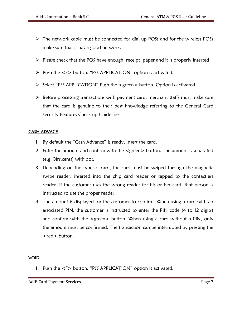- The network cable must be connected for dial up POSs and for the wireless POSs make sure that it has a good network.
- $\triangleright$  Please check that the POS have enough receipt paper and it is properly inserted
- > Push the <F> button. "PSS APPLICATION" option is activated.
- Select "PSS APPLICATION" Push the <green> button. Option is activated.
- $\triangleright$  Before processing transactions with payment card, merchant staffs must make sure that the card is genuine to their best knowledge referring to the General Card Security Features Check up Guideline

## CASH ADVACE

- 1. By default the "Cash Advance" is ready, Insert the card.
- 2. Enter the amount and confirm with the <green> button. The amount is separated (e.g. Birr.cents) with dot.
- 3. Depending on the type of card, the card must be swiped through the magnetic swipe reader, inserted into the chip card reader or tapped to the contactless reader. If the customer uses the wrong reader for his or her card, that person is instructed to use the proper reader.
- 4. The amount is displayed for the customer to confirm. When using a card with an associated PIN, the customer is instructed to enter the PIN code (4 to 12 digits) and confirm with the <green> button. When using a card without a PIN, only the amount must be confirmed. The transaction can be interrupted by pressing the <red> button.

## VOID

1. Push the <F> button. "PSS APPLICATION" option is activated.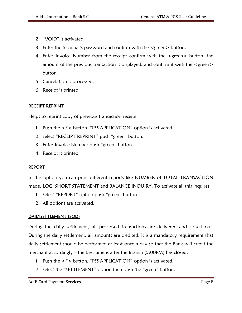- 2. "VOID" is activated.
- 3. Enter the terminal's password and confirm with the <green> button.
- 4. Enter Invoice Number from the receipt confirm with the <green> button, the amount of the previous transaction is displayed, and confirm it with the <green> button.
- 5. Cancelation is processed.
- 6. Receipt is printed

## RECEIPT REPRINT

Helps to reprint copy of previous transaction receipt

- 1. Push the <F> button. "PSS APPLICATION" option is activated.
- 2. Select "RECEIPT REPRINT" push "green" button.
- 3. Enter Invoice Number push "green" button.
- 4. Receipt is printed

#### REPORT

In this option you can print different reports like NUMBER of TOTAL TRANSACTION made, LOG, SHORT STATEMENT and BALANCE INQUIRY. To activate all this inquires:

- 1. Select "REPORT" option push "green" button
- 2. All options are activated.

## DAILYSETTLEMENT (EOD)

During the daily settlement, all processed transactions are delivered and closed out. During the daily settlement, all amounts are credited. It is a mandatory requirement that daily settlement should be performed at least once a day so that the Bank will credit the merchant accordingly – the best time is after the Branch (5:00PM) has closed.

- 1. Push the <F> button. "PSS APPLICATION" option is activated.
- 2. Select the "SETTLEMENT" option then push the "green" button.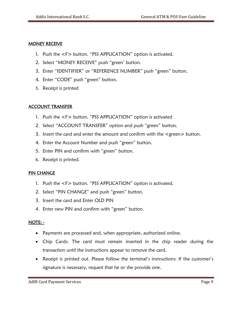#### MONEY RECEIVE

- 1. Push the <F> button. "PSS APPLICATION" option is activated.
- 2. Select "MONEY RECEIVE" push "green' button.
- 3. Enter "IDENTIFIER" or "REFERENCE NUMBER" push "green" button.
- 4. Enter "CODE" push "green" button.
- 5. Receipt is printed

# ACCOUNT TRANSFER

- 1. Push the <F> button. "PSS APPLICATION" option is activated
- 2. Select "ACCOUNT TRANSFER" option and push "green" button.
- 3. Insert the card and enter the amount and confirm with the <green> button.
- 4. Enter the Account Number and push "green" button.
- 5. Enter PIN and confirm with "green" button.
- 6. Receipt is printed.

## PIN CHANGE

- 1. Push the <F> button. "PSS APPLICATION" option is activated.
- 2. Select "PIN CHANGE" and push "green" button.
- 3. Insert the card and Enter OLD PIN
- 4. Enter new PIN and confirm with "green" button.

## NOTE: **-**

- Payments are processed and, when appropriate, authorized online.
- Chip Cards: The card must remain inserted in the chip reader during the transaction until the instructions appear to remove the card.
- Receipt is printed out. Please follow the terminal's instructions: If the customer's signature is necessary, request that he or she provide one.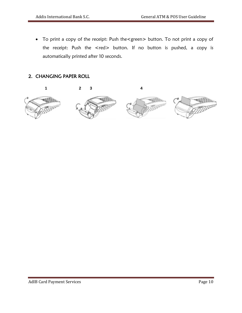To print a copy of the receipt: Push the<green> button. To not print a copy of the receipt: Push the <red> button. If no button is pushed, a copy is automatically printed after 10 seconds.

# 2. CHANGING PAPER ROLL

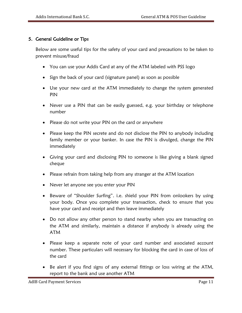# 5. General Guideline or Tips

Below are some useful tips for the safety of your card and precautions to be taken to prevent misuse/fraud

- You can use your Addis Card at any of the ATM labeled with PSS logo
- Sign the back of your card (signature panel) as soon as possible
- Use your new card at the ATM immediately to change the system generated PIN
- Never use a PIN that can be easily guessed, e.g. your birthday or telephone number
- Please do not write your PIN on the card or anywhere
- Please keep the PIN secrete and do not disclose the PIN to anybody including family member or your banker. In case the PIN is divulged, change the PIN immediately
- Giving your card and disclosing PIN to someone is like giving a blank signed cheque
- Please refrain from taking help from any stranger at the ATM location
- Never let anyone see you enter your PIN
- Beware of "Shoulder Surfing". i.e. shield your PIN from onlookers by using your body. Once you complete your transaction, check to ensure that you have your card and receipt and then leave immediately
- Do not allow any other person to stand nearby when you are transacting on the ATM and similarly, maintain a distance if anybody is already using the ATM
- Please keep a separate note of your card number and associated account number. These particulars will necessary for blocking the card in case of loss of the card
- Be alert if you find signs of any external fittings or loss wiring at the ATM, report to the bank and use another ATM